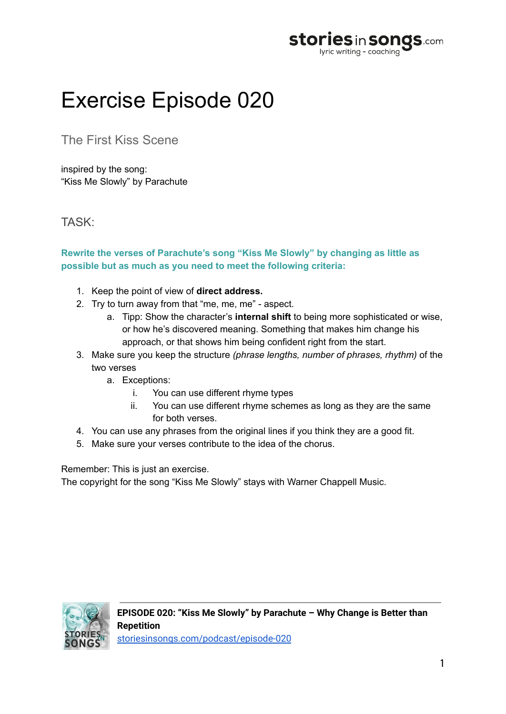

## Exercise Episode 020

The First Kiss Scene

inspired by the song: "Kiss Me Slowly" by Parachute

TASK:

## **Rewrite the verses of Parachute's song "Kiss Me Slowly" by changing as little as possible but as much as you need to meet the following criteria:**

- 1. Keep the point of view of **direct address.**
- 2. Try to turn away from that "me, me, me" aspect.
	- a. Tipp: Show the character's **internal shift** to being more sophisticated or wise, or how he's discovered meaning. Something that makes him change his approach, or that shows him being confident right from the start.
- 3. Make sure you keep the structure *(phrase lengths, number of phrases, rhythm)* of the two verses
	- a. Exceptions:
		- i. You can use different rhyme types
		- ii. You can use different rhyme schemes as long as they are the same for both verses.
- 4. You can use any phrases from the original lines if you think they are a good fit.
- 5. Make sure your verses contribute to the idea of the chorus.

Remember: This is just an exercise.

The copyright for the song "Kiss Me Slowly" stays with Warner Chappell Music.

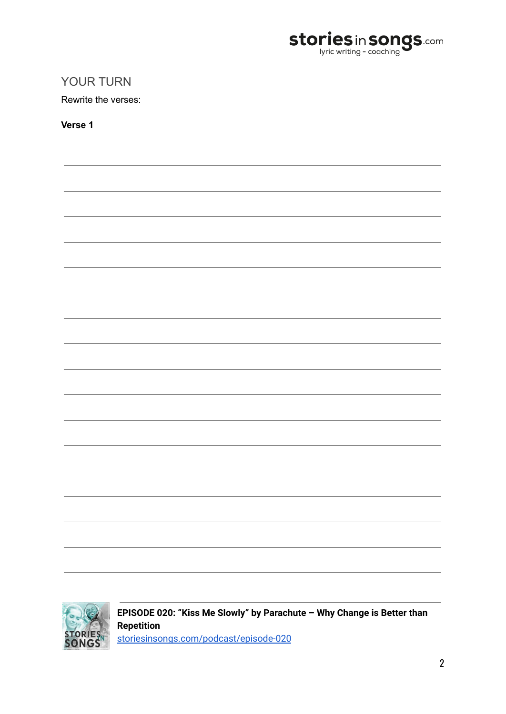

## YOUR TURN

Rewrite the verses:

**Verse 1**

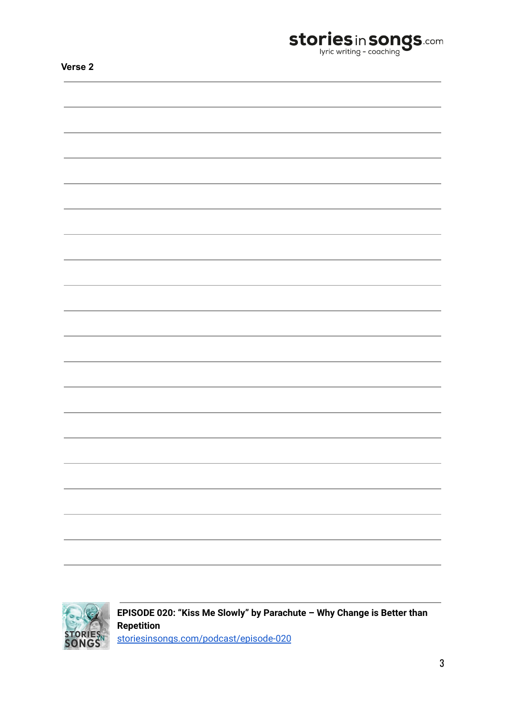| <b>stories</b> in <b>songs</b> .com |
|-------------------------------------|
|                                     |

| Δ<br>v<br>١ |  |
|-------------|--|
|-------------|--|

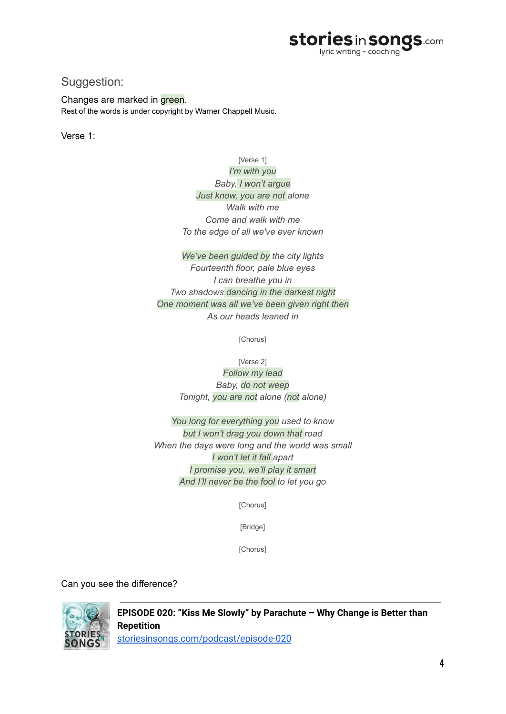

## Suggestion:

Changes are marked in green. Rest of the words is under copyright by Warner Chappell Music.

Verse 1:

[Verse 1] *I'm with you Baby, I won't argue Just know, you are not alone Walk with me Come and walk with me To the edge of all we've ever known*

*We've been guided by the city lights Fourteenth floor, pale blue eyes I can breathe you in Two shadows dancing in the darkest night One moment was all we've been given right then As our heads leaned in*

[Chorus]

[Verse 2]

*Follow my lead Baby, do not weep Tonight, you are not alone (not alone)*

*You long for everything you used to know but I won't drag you down that road When the days were long and the world was small I won't let it fall apart I promise you, we'll play it smart And I'll never be the fool to let you go*

[Chorus]

[Bridge]

[Chorus]

Can you see the difference?